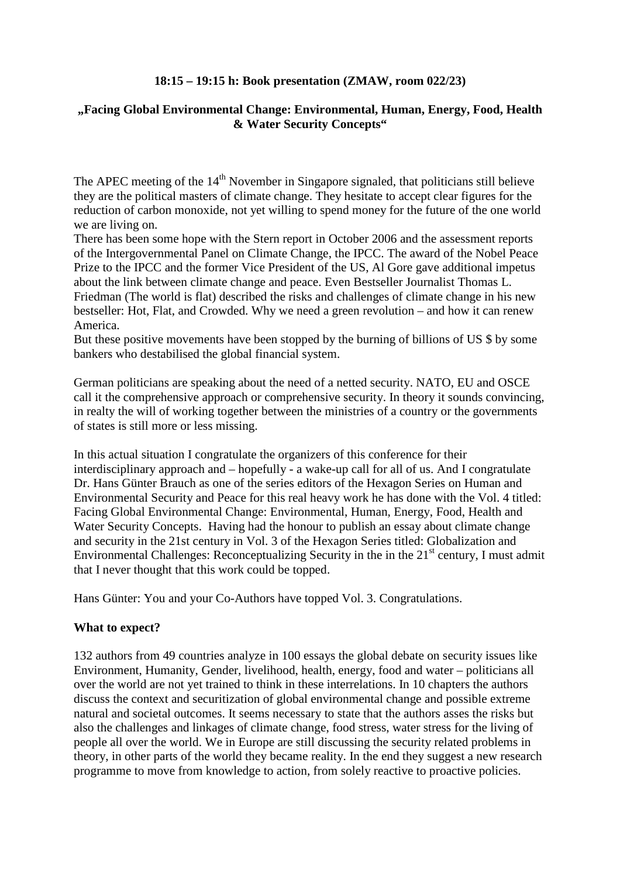# **18:15 – 19:15 h: Book presentation (ZMAW, room 022/23)**

# **"Facing Global Environmental Change: Environmental, Human, Energy, Food, Health & Water Security Concepts"**

The APEC meeting of the 14<sup>th</sup> November in Singapore signaled, that politicians still believe they are the political masters of climate change. They hesitate to accept clear figures for the reduction of carbon monoxide, not yet willing to spend money for the future of the one world we are living on.

There has been some hope with the Stern report in October 2006 and the assessment reports of the Intergovernmental Panel on Climate Change, the IPCC. The award of the Nobel Peace Prize to the IPCC and the former Vice President of the US, Al Gore gave additional impetus about the link between climate change and peace. Even Bestseller Journalist Thomas L. Friedman (The world is flat) described the risks and challenges of climate change in his new bestseller: Hot, Flat, and Crowded. Why we need a green revolution – and how it can renew America.

But these positive movements have been stopped by the burning of billions of US \$ by some bankers who destabilised the global financial system.

German politicians are speaking about the need of a netted security. NATO, EU and OSCE call it the comprehensive approach or comprehensive security. In theory it sounds convincing, in realty the will of working together between the ministries of a country or the governments of states is still more or less missing.

In this actual situation I congratulate the organizers of this conference for their interdisciplinary approach and – hopefully - a wake-up call for all of us. And I congratulate Dr. Hans Günter Brauch as one of the series editors of the Hexagon Series on Human and Environmental Security and Peace for this real heavy work he has done with the Vol. 4 titled: Facing Global Environmental Change: Environmental, Human, Energy, Food, Health and Water Security Concepts. Having had the honour to publish an essay about climate change and security in the 21st century in Vol. 3 of the Hexagon Series titled: Globalization and Environmental Challenges: Reconceptualizing Security in the in the  $21<sup>st</sup>$  century, I must admit that I never thought that this work could be topped.

Hans Günter: You and your Co-Authors have topped Vol. 3. Congratulations.

### **What to expect?**

132 authors from 49 countries analyze in 100 essays the global debate on security issues like Environment, Humanity, Gender, livelihood, health, energy, food and water – politicians all over the world are not yet trained to think in these interrelations. In 10 chapters the authors discuss the context and securitization of global environmental change and possible extreme natural and societal outcomes. It seems necessary to state that the authors asses the risks but also the challenges and linkages of climate change, food stress, water stress for the living of people all over the world. We in Europe are still discussing the security related problems in theory, in other parts of the world they became reality. In the end they suggest a new research programme to move from knowledge to action, from solely reactive to proactive policies.